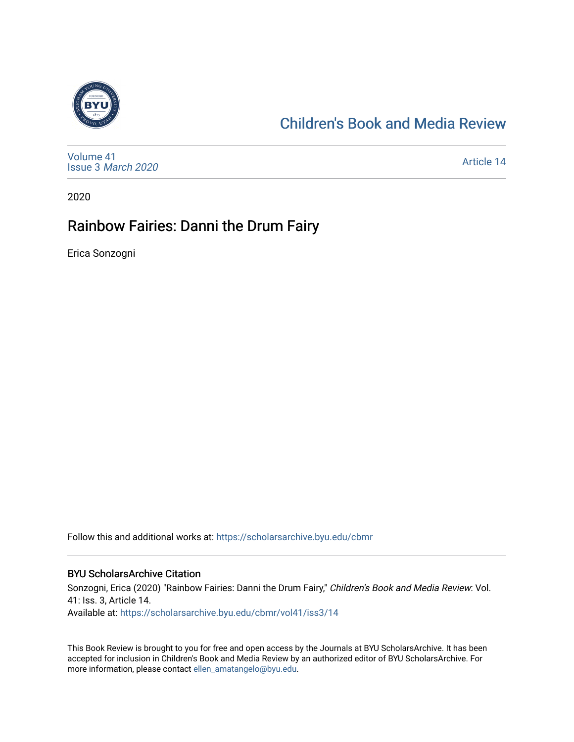

### [Children's Book and Media Review](https://scholarsarchive.byu.edu/cbmr)

[Volume 41](https://scholarsarchive.byu.edu/cbmr/vol41) Issue 3 [March 2020](https://scholarsarchive.byu.edu/cbmr/vol41/iss3)

[Article 14](https://scholarsarchive.byu.edu/cbmr/vol41/iss3/14) 

2020

### Rainbow Fairies: Danni the Drum Fairy

Erica Sonzogni

Follow this and additional works at: [https://scholarsarchive.byu.edu/cbmr](https://scholarsarchive.byu.edu/cbmr?utm_source=scholarsarchive.byu.edu%2Fcbmr%2Fvol41%2Fiss3%2F14&utm_medium=PDF&utm_campaign=PDFCoverPages) 

#### BYU ScholarsArchive Citation

Sonzogni, Erica (2020) "Rainbow Fairies: Danni the Drum Fairy," Children's Book and Media Review: Vol. 41: Iss. 3, Article 14. Available at: [https://scholarsarchive.byu.edu/cbmr/vol41/iss3/14](https://scholarsarchive.byu.edu/cbmr/vol41/iss3/14?utm_source=scholarsarchive.byu.edu%2Fcbmr%2Fvol41%2Fiss3%2F14&utm_medium=PDF&utm_campaign=PDFCoverPages)

This Book Review is brought to you for free and open access by the Journals at BYU ScholarsArchive. It has been accepted for inclusion in Children's Book and Media Review by an authorized editor of BYU ScholarsArchive. For more information, please contact [ellen\\_amatangelo@byu.edu.](mailto:ellen_amatangelo@byu.edu)